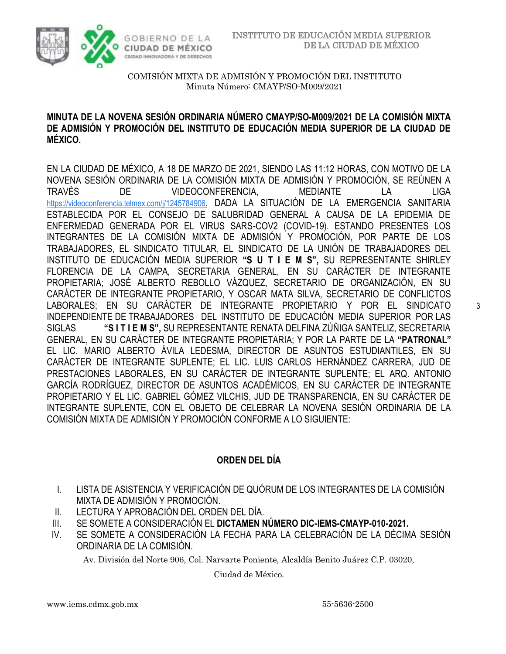



## **MINUTA DE LA NOVENA SESIÓN ORDINARIA NÚMERO CMAYP/SO-M009/2021 DE LA COMISIÓN MIXTA DE ADMISIÓN Y PROMOCIÓN DEL INSTITUTO DE EDUCACIÓN MEDIA SUPERIOR DE LA CIUDAD DE MÉXICO.**

EN LA CIUDAD DE MÉXICO, A 18 DE MARZO DE 2021, SIENDO LAS 11:12 HORAS, CON MOTIVO DE LA NOVENA SESIÓN ORDINARIA DE LA COMISIÓN MIXTA DE ADMISIÓN Y PROMOCIÓN, SE REÚNEN A TRAVÉS DE VIDEOCONFERENCIA, MEDIANTE LA LIGA [https://videoconferencia.telmex.com/j/1245784906](https://www.google.com/url?q=https://videoconferencia.telmex.com/j/1245784906&sa=D&source=calendar&ust=1616455394278000&usg=AOvVaw2JX4Y9wZ32yAzxU02oOF63), DADA LA SITUACIÓN DE LA EMERGENCIA SANITARIA ESTABLECIDA POR EL CONSEJO DE SALUBRIDAD GENERAL A CAUSA DE LA EPIDEMIA DE ENFERMEDAD GENERADA POR EL VIRUS SARS-COV2 (COVID-19). ESTANDO PRESENTES LOS INTEGRANTES DE LA COMISIÓN MIXTA DE ADMISIÓN Y PROMOCIÓN, POR PARTE DE LOS TRABAJADORES, EL SINDICATO TITULAR, EL SINDICATO DE LA UNIÓN DE TRABAJADORES DEL INSTITUTO DE EDUCACIÓN MEDIA SUPERIOR **"S U T I E M S",** SU REPRESENTANTE SHIRLEY FLORENCIA DE LA CAMPA, SECRETARIA GENERAL, EN SU CARÁCTER DE INTEGRANTE PROPIETARIA; JOSÉ ALBERTO REBOLLO VÁZQUEZ, SECRETARIO DE ORGANIZACIÓN, EN SU CARÁCTER DE INTEGRANTE PROPIETARIO, Y OSCAR MATA SILVA, SECRETARIO DE CONFLICTOS LABORALES; EN SU CARÁCTER DE INTEGRANTE PROPIETARIO Y POR EL SINDICATO INDEPENDIENTE DE TRABAJADORES DEL INSTITUTO DE EDUCACIÓN MEDIA SUPERIOR POR LAS SIGLAS **"S I T I E M S",** SU REPRESENTANTE RENATA DELFINA ZÚÑIGA SANTELIZ, SECRETARIA GENERAL, EN SU CARÁCTER DE INTEGRANTE PROPIETARIA; Y POR LA PARTE DE LA **"PATRONAL"**  EL LIC. MARIO ALBERTO ÁVILA LEDESMA, DIRECTOR DE ASUNTOS ESTUDIANTILES, EN SU CARÁCTER DE INTEGRANTE SUPLENTE; EL LIC. LUIS CARLOS HERNÁNDEZ CARRERA, JUD DE PRESTACIONES LABORALES, EN SU CARÁCTER DE INTEGRANTE SUPLENTE; EL ARQ. ANTONIO GARCÍA RODRÍGUEZ, DIRECTOR DE ASUNTOS ACADÉMICOS, EN SU CARÁCTER DE INTEGRANTE PROPIETARIO Y EL LIC. GABRIEL GÓMEZ VILCHIS, JUD DE TRANSPARENCIA, EN SU CARÁCTER DE INTEGRANTE SUPLENTE, CON EL OBJETO DE CELEBRAR LA NOVENA SESIÓN ORDINARIA DE LA COMISIÓN MIXTA DE ADMISIÓN Y PROMOCIÓN CONFORME A LO SIGUIENTE:

## **ORDEN DEL DÍA**

- I. LISTA DE ASISTENCIA Y VERIFICACIÓN DE QUÓRUM DE LOS INTEGRANTES DE LA COMISIÓN MIXTA DE ADMISIÓN Y PROMOCIÓN.
- II. LECTURA Y APROBACIÓN DEL ORDEN DEL DÍA.
- III. SE SOMETE A CONSIDERACIÓN EL **DICTAMEN NÚMERO DIC-IEMS-CMAYP-010-2021.**
- IV. SE SOMETE A CONSIDERACIÓN LA FECHA PARA LA CELEBRACIÓN DE LA DÉCIMA SESIÓN ORDINARIA DE LA COMISIÓN.

Av. División del Norte 906, Col. Narvarte Poniente, Alcaldía Benito Juárez C.P. 03020,

Ciudad de México.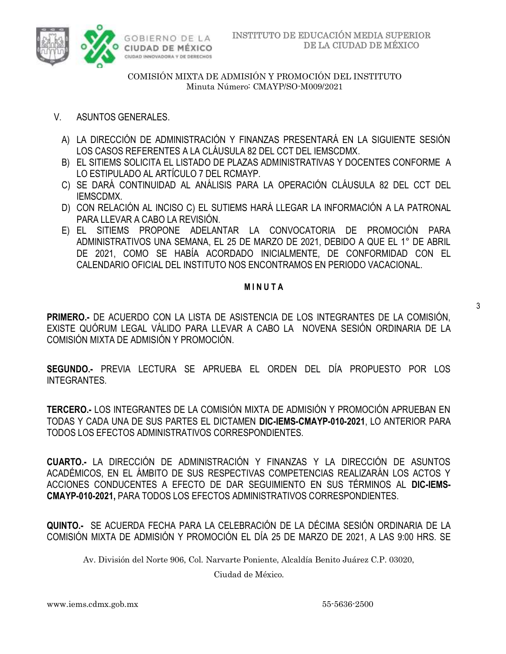

- V. ASUNTOS GENERALES.
	- A) LA DIRECCIÓN DE ADMINISTRACIÓN Y FINANZAS PRESENTARÁ EN LA SIGUIENTE SESIÓN LOS CASOS REFERENTES A LA CLÁUSULA 82 DEL CCT DEL IEMSCDMX.
	- B) EL SITIEMS SOLICITA EL LISTADO DE PLAZAS ADMINISTRATIVAS Y DOCENTES CONFORME A LO ESTIPULADO AL ARTÍCULO 7 DEL RCMAYP.
	- C) SE DARÁ CONTINUIDAD AL ANÁLISIS PARA LA OPERACIÓN CLÁUSULA 82 DEL CCT DEL IEMSCDMX.
	- D) CON RELACIÓN AL INCISO C) EL SUTIEMS HARÁ LLEGAR LA INFORMACIÓN A LA PATRONAL PARA LLEVAR A CABO LA REVISIÓN.
	- E) EL SITIEMS PROPONE ADELANTAR LA CONVOCATORIA DE PROMOCIÓN PARA ADMINISTRATIVOS UNA SEMANA, EL 25 DE MARZO DE 2021, DEBIDO A QUE EL 1° DE ABRIL DE 2021, COMO SE HABÍA ACORDADO INICIALMENTE, DE CONFORMIDAD CON EL CALENDARIO OFICIAL DEL INSTITUTO NOS ENCONTRAMOS EN PERIODO VACACIONAL.

#### **M I N U T A**

**PRIMERO.-** DE ACUERDO CON LA LISTA DE ASISTENCIA DE LOS INTEGRANTES DE LA COMISIÓN, EXISTE QUÓRUM LEGAL VÁLIDO PARA LLEVAR A CABO LA NOVENA SESIÓN ORDINARIA DE LA COMISIÓN MIXTA DE ADMISIÓN Y PROMOCIÓN.

**SEGUNDO.-** PREVIA LECTURA SE APRUEBA EL ORDEN DEL DÍA PROPUESTO POR LOS INTEGRANTES.

**TERCERO.-** LOS INTEGRANTES DE LA COMISIÓN MIXTA DE ADMISIÓN Y PROMOCIÓN APRUEBAN EN TODAS Y CADA UNA DE SUS PARTES EL DICTAMEN **DIC-IEMS-CMAYP-010-2021**, LO ANTERIOR PARA TODOS LOS EFECTOS ADMINISTRATIVOS CORRESPONDIENTES.

**CUARTO.-** LA DIRECCIÓN DE ADMINISTRACIÓN Y FINANZAS Y LA DIRECCIÓN DE ASUNTOS ACADÉMICOS, EN EL ÁMBITO DE SUS RESPECTIVAS COMPETENCIAS REALIZARÁN LOS ACTOS Y ACCIONES CONDUCENTES A EFECTO DE DAR SEGUIMIENTO EN SUS TÉRMINOS AL **DIC-IEMS-CMAYP-010-2021,** PARA TODOS LOS EFECTOS ADMINISTRATIVOS CORRESPONDIENTES.

**QUINTO.-** SE ACUERDA FECHA PARA LA CELEBRACIÓN DE LA DÉCIMA SESIÓN ORDINARIA DE LA COMISIÓN MIXTA DE ADMISIÓN Y PROMOCIÓN EL DÍA 25 DE MARZO DE 2021, A LAS 9:00 HRS. SE

Av. División del Norte 906, Col. Narvarte Poniente, Alcaldía Benito Juárez C.P. 03020,

Ciudad de México.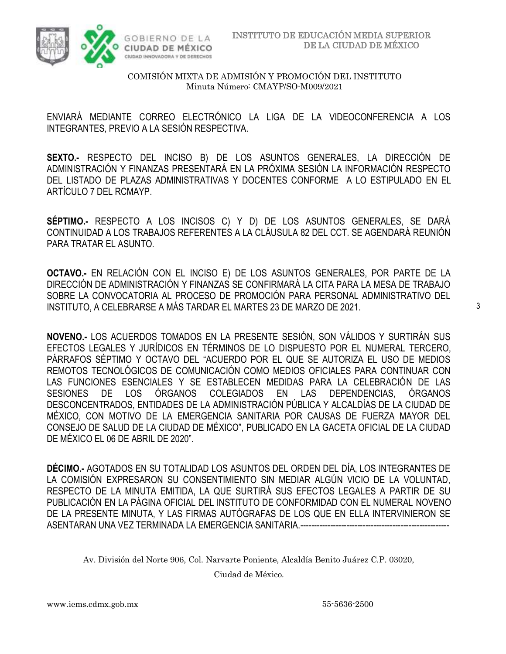

ENVIARÁ MEDIANTE CORREO ELECTRÓNICO LA LIGA DE LA VIDEOCONFERENCIA A LOS INTEGRANTES, PREVIO A LA SESIÓN RESPECTIVA.

**SEXTO.-** RESPECTO DEL INCISO B) DE LOS ASUNTOS GENERALES, LA DIRECCIÓN DE ADMINISTRACIÓN Y FINANZAS PRESENTARÁ EN LA PRÓXIMA SESIÓN LA INFORMACIÓN RESPECTO DEL LISTADO DE PLAZAS ADMINISTRATIVAS Y DOCENTES CONFORME A LO ESTIPULADO EN EL ARTÍCULO 7 DEL RCMAYP.

**SÉPTIMO.-** RESPECTO A LOS INCISOS C) Y D) DE LOS ASUNTOS GENERALES, SE DARÁ CONTINUIDAD A LOS TRABAJOS REFERENTES A LA CLÁUSULA 82 DEL CCT. SE AGENDARÁ REUNIÓN PARA TRATAR EL ASUNTO.

**OCTAVO.-** EN RELACIÓN CON EL INCISO E) DE LOS ASUNTOS GENERALES, POR PARTE DE LA DIRECCIÓN DE ADMINISTRACIÓN Y FINANZAS SE CONFIRMARÁ LA CITA PARA LA MESA DE TRABAJO SOBRE LA CONVOCATORIA AL PROCESO DE PROMOCIÓN PARA PERSONAL ADMINISTRATIVO DEL INSTITUTO, A CELEBRARSE A MÁS TARDAR EL MARTES 23 DE MARZO DE 2021.

**NOVENO.-** LOS ACUERDOS TOMADOS EN LA PRESENTE SESIÓN, SON VÁLIDOS Y SURTIRÁN SUS EFECTOS LEGALES Y JURÍDICOS EN TÉRMINOS DE LO DISPUESTO POR EL NUMERAL TERCERO, PÁRRAFOS SÉPTIMO Y OCTAVO DEL "ACUERDO POR EL QUE SE AUTORIZA EL USO DE MEDIOS REMOTOS TECNOLÓGICOS DE COMUNICACIÓN COMO MEDIOS OFICIALES PARA CONTINUAR CON LAS FUNCIONES ESENCIALES Y SE ESTABLECEN MEDIDAS PARA LA CELEBRACIÓN DE LAS SESIONES DE LOS ÓRGANOS COLEGIADOS EN LAS DEPENDENCIAS, ÓRGANOS DESCONCENTRADOS, ENTIDADES DE LA ADMINISTRACIÓN PÚBLICA Y ALCALDÍAS DE LA CIUDAD DE MÉXICO, CON MOTIVO DE LA EMERGENCIA SANITARIA POR CAUSAS DE FUERZA MAYOR DEL CONSEJO DE SALUD DE LA CIUDAD DE MÉXICO", PUBLICADO EN LA GACETA OFICIAL DE LA CIUDAD DE MÉXICO EL 06 DE ABRIL DE 2020".

**DÉCIMO.-** AGOTADOS EN SU TOTALIDAD LOS ASUNTOS DEL ORDEN DEL DÍA, LOS INTEGRANTES DE LA COMISIÓN EXPRESARON SU CONSENTIMIENTO SIN MEDIAR ALGÚN VICIO DE LA VOLUNTAD, RESPECTO DE LA MINUTA EMITIDA, LA QUE SURTIRÁ SUS EFECTOS LEGALES A PARTIR DE SU PUBLICACIÓN EN LA PÁGINA OFICIAL DEL INSTITUTO DE CONFORMIDAD CON EL NUMERAL NOVENO DE LA PRESENTE MINUTA, Y LAS FIRMAS AUTÓGRAFAS DE LOS QUE EN ELLA INTERVINIERON SE ASENTARAN UNA VEZ TERMINADA LA EMERGENCIA SANITARIA.-------------------------------------------------------

Av. División del Norte 906, Col. Narvarte Poniente, Alcaldía Benito Juárez C.P. 03020,

Ciudad de México.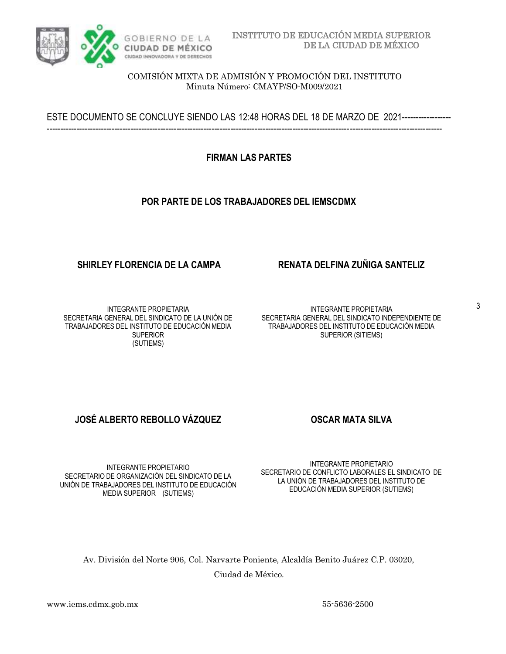

ESTE DOCUMENTO SE CONCLUYE SIENDO LAS 12:48 HORAS DEL 18 DE MARZO DE 2021------------------ --------------------------------------------------------------------------------------------------------------------------------------------------

**FIRMAN LAS PARTES**

## **POR PARTE DE LOS TRABAJADORES DEL IEMSCDMX**

## **SHIRLEY FLORENCIA DE LA CAMPA RENATA DELFINA ZUÑIGA SANTELIZ**

INTEGRANTE PROPIETARIA SECRETARIA GENERAL DEL SINDICATO DE LA UNIÓN DE TRABAJADORES DEL INSTITUTO DE EDUCACIÓN MEDIA SUPERIOR (SUTIEMS)

INTEGRANTE PROPIETARIA SECRETARIA GENERAL DEL SINDICATO INDEPENDIENTE DE TRABAJADORES DEL INSTITUTO DE EDUCACIÓN MEDIA SUPERIOR (SITIEMS)

# **JOSÉ ALBERTO REBOLLO VÁZQUEZ OSCAR MATA SILVA**

INTEGRANTE PROPIETARIO SECRETARIO DE ORGANIZACIÓN DEL SINDICATO DE LA UNIÓN DE TRABAJADORES DEL INSTITUTO DE EDUCACIÓN MEDIA SUPERIOR (SUTIEMS)

INTEGRANTE PROPIETARIO SECRETARIO DE CONFLICTO LABORALES EL SINDICATO DE LA UNIÓN DE TRABAJADORES DEL INSTITUTO DE EDUCACIÓN MEDIA SUPERIOR (SUTIEMS)

Av. División del Norte 906, Col. Narvarte Poniente, Alcaldía Benito Juárez C.P. 03020, Ciudad de México.